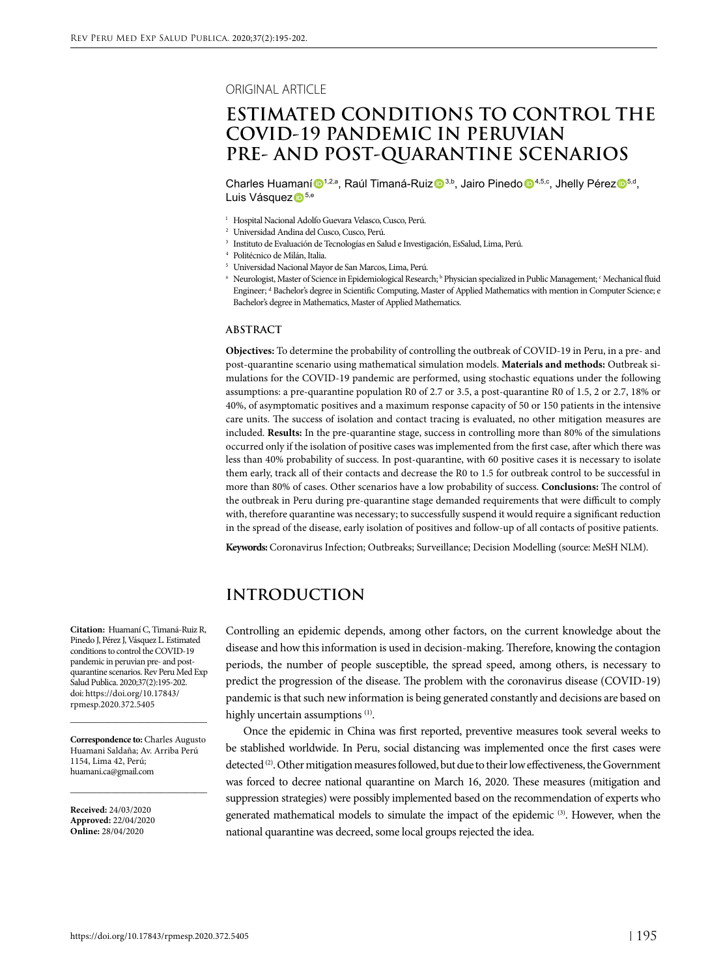#### ORIGINAL ARTICLE

# **ESTIMATED CONDITIONS TO CONTROL THE COVID-19 PANDEMIC IN PERUVIAN PRE- AND POST-QUARANTINE SCENARIOS**

Charles Huamaní <sup>1,2,a</sup>, Raúl Timaná-Ruiz <sup>3,b</sup>, Jairo Pinedo <sup>1,5,c</sup>, Jhelly Pérez <sup>5,d</sup>, Luis Vásquez D<sup>5,e</sup>

- <sup>1</sup> Hospital Nacional Adolfo Guevara Velasco, Cusco, Perú.
- <sup>2</sup> Universidad Andina del Cusco, Cusco, Perú.
- <sup>3</sup> Instituto de Evaluación de Tecnologías en Salud e Investigación, EsSalud, Lima, Perú.
- <sup>4</sup> Politécnico de Milán, Italia.
- <sup>5</sup> Universidad Nacional Mayor de San Marcos, Lima, Perú.
- $\degree$  Neurologist, Master of Science in Epidemiological Research;  $\degree$  Physician specialized in Public Management;  $\degree$  Mechanical fluid Engineer; d Bachelor's degree in Scientific Computing, Master of Applied Mathematics with mention in Computer Science; e Bachelor's degree in Mathematics, Master of Applied Mathematics.

#### **ABSTRACT**

**Objectives:** To determine the probability of controlling the outbreak of COVID-19 in Peru, in a pre- and post-quarantine scenario using mathematical simulation models. **Materials and methods:** Outbreak simulations for the COVID-19 pandemic are performed, using stochastic equations under the following assumptions: a pre-quarantine population R0 of 2.7 or 3.5, a post-quarantine R0 of 1.5, 2 or 2.7, 18% or 40%, of asymptomatic positives and a maximum response capacity of 50 or 150 patients in the intensive care units. The success of isolation and contact tracing is evaluated, no other mitigation measures are included. **Results:** In the pre-quarantine stage, success in controlling more than 80% of the simulations occurred only if the isolation of positive cases was implemented from the first case, after which there was less than 40% probability of success. In post-quarantine, with 60 positive cases it is necessary to isolate them early, track all of their contacts and decrease the R0 to 1.5 for outbreak control to be successful in more than 80% of cases. Other scenarios have a low probability of success. **Conclusions:** The control of the outbreak in Peru during pre-quarantine stage demanded requirements that were difficult to comply with, therefore quarantine was necessary; to successfully suspend it would require a significant reduction in the spread of the disease, early isolation of positives and follow-up of all contacts of positive patients.

**Keywords:** Coronavirus Infection; Outbreaks; Surveillance; Decision Modelling (source: MeSH NLM).

## **INTRODUCTION**

Controlling an epidemic depends, among other factors, on the current knowledge about the disease and how this information is used in decision-making. Therefore, knowing the contagion periods, the number of people susceptible, the spread speed, among others, is necessary to predict the progression of the disease. The problem with the coronavirus disease (COVID-19) pandemic is that such new information is being generated constantly and decisions are based on highly uncertain assumptions<sup>(1)</sup>.

Once the epidemic in China was first reported, preventive measures took several weeks to be stablished worldwide. In Peru, social distancing was implemented once the first cases were detected <sup>(2)</sup>. Other mitigation measures followed, but due to their low effectiveness, the Government was forced to decree national quarantine on March 16, 2020. These measures (mitigation and suppression strategies) were possibly implemented based on the recommendation of experts who generated mathematical models to simulate the impact of the epidemic (3). However, when the national quarantine was decreed, some local groups rejected the idea.

**Citation:** Huamaní C, Timaná-Ruiz R, Pinedo J, Pérez J, Vásquez L. Estimated conditions to control the COVID-19 pandemic in peruvian pre- and postquarantine scenarios. Rev Peru Med Exp Salud Publica. 2020;37(2):195-202. doi: https://doi.org/10.17843/ rpmesp.2020.372.5405

**Correspondence to:** Charles Augusto Huamani Saldaña; Av. Arriba Perú 1154, Lima 42, Perú; huamani.ca@gmail.com

\_\_\_\_\_\_\_\_\_\_\_\_\_\_\_\_\_\_\_\_\_\_\_\_\_\_\_\_\_\_\_\_\_

\_\_\_\_\_\_\_\_\_\_\_\_\_\_\_\_\_\_\_\_\_\_\_\_\_\_\_\_\_\_\_\_\_

**Received:** 24/03/2020 **Approved:** 22/04/2020 **Online:** 28/04/2020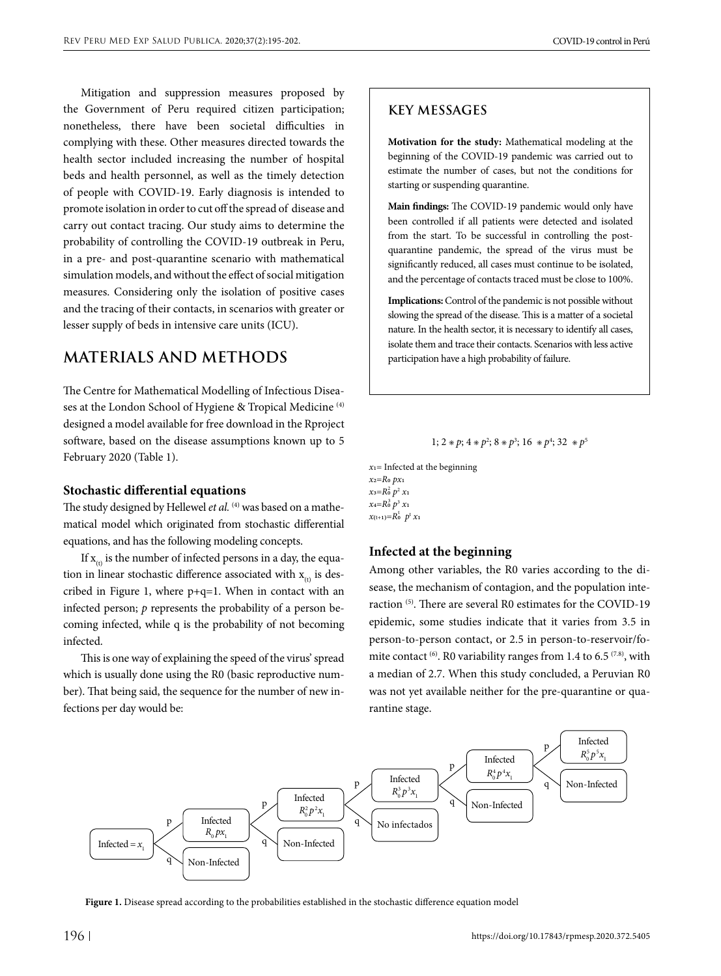Mitigation and suppression measures proposed by the Government of Peru required citizen participation; nonetheless, there have been societal difficulties in complying with these. Other measures directed towards the health sector included increasing the number of hospital beds and health personnel, as well as the timely detection of people with COVID-19. Early diagnosis is intended to promote isolation in order to cut off the spread of disease and carry out contact tracing. Our study aims to determine the probability of controlling the COVID-19 outbreak in Peru, in a pre- and post-quarantine scenario with mathematical simulation models, and without the effect of social mitigation measures. Considering only the isolation of positive cases and the tracing of their contacts, in scenarios with greater or lesser supply of beds in intensive care units (ICU).

## **MATERIALS AND METHODS**

The Centre for Mathematical Modelling of Infectious Diseases at the London School of Hygiene & Tropical Medicine (4) designed a model available for free download in the Rproject software, based on the disease assumptions known up to 5 February 2020 (Table 1).

#### **Stochastic differential equations**

The study designed by Hellewel et al.<sup>(4)</sup> was based on a mathematical model which originated from stochastic differential equations, and has the following modeling concepts.

If  $x_{(t)}$  is the number of infected persons in a day, the equation in linear stochastic difference associated with  $x_{(t)}$  is described in Figure 1, where  $p+q=1$ . When in contact with an infected person; *p* represents the probability of a person becoming infected, while q is the probability of not becoming infected.

This is one way of explaining the speed of the virus' spread which is usually done using the R0 (basic reproductive number). That being said, the sequence for the number of new infections per day would be:

### **KEY MESSAGES**

**Motivation for the study:** Mathematical modeling at the beginning of the COVID-19 pandemic was carried out to estimate the number of cases, but not the conditions for starting or suspending quarantine.

**Main findings:** The COVID-19 pandemic would only have been controlled if all patients were detected and isolated from the start. To be successful in controlling the postquarantine pandemic, the spread of the virus must be significantly reduced, all cases must continue to be isolated, and the percentage of contacts traced must be close to 100%.

**Implications:** Control of the pandemic is not possible without slowing the spread of the disease. This is a matter of a societal nature. In the health sector, it is necessary to identify all cases, isolate them and trace their contacts. Scenarios with less active participation have a high probability of failure.

#### 1;  $2 * p$ ;  $4 * p^2$ ;  $8 * p^3$ ;  $16 * p^4$ ;  $32 * p^5$

*x*1= Infected at the beginning *x*2=*R*0 *px*1  $x_3=R_0^2 p^2 x_1$ *x*4=*R*0 *p*<sup>3</sup> *x*1 3  $x_{(t+1)}=R_0^t$   $p^t x_1$ 

#### **Infected at the beginning**

Among other variables, the R0 varies according to the disease, the mechanism of contagion, and the population interaction (5). There are several R0 estimates for the COVID-19 epidemic, some studies indicate that it varies from 3.5 in person-to-person contact, or 2.5 in person-to-reservoir/fomite contact  $(6)$ . R0 variability ranges from 1.4 to 6.5  $(7.8)$ , with a median of 2.7. When this study concluded, a Peruvian R0 was not yet available neither for the pre-quarantine or quarantine stage.



**Figure 1.** Disease spread according to the probabilities established in the stochastic difference equation model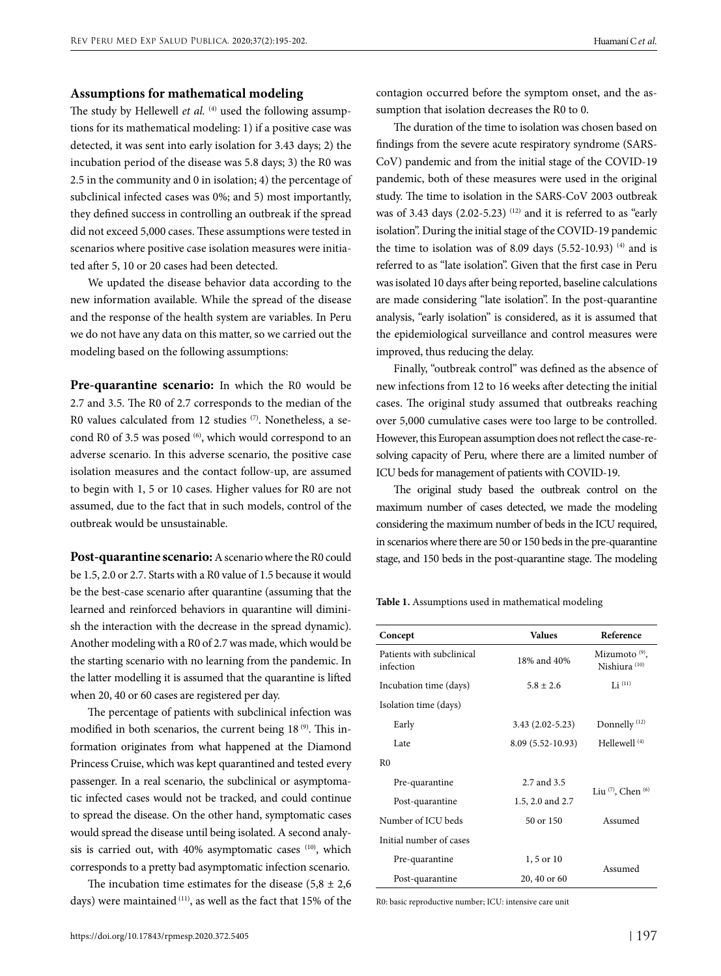### **Assumptions for mathematical modeling**

The study by Hellewell et al. <sup>(4)</sup> used the following assumptions for its mathematical modeling: 1) if a positive case was detected, it was sent into early isolation for 3.43 days; 2) the incubation period of the disease was 5.8 days; 3) the R0 was 2.5 in the community and 0 in isolation; 4) the percentage of subclinical infected cases was 0%; and 5) most importantly, they defined success in controlling an outbreak if the spread did not exceed 5,000 cases. These assumptions were tested in scenarios where positive case isolation measures were initiated after 5, 10 or 20 cases had been detected.

We updated the disease behavior data according to the new information available. While the spread of the disease and the response of the health system are variables. In Peru we do not have any data on this matter, so we carried out the modeling based on the following assumptions:

**Pre-quarantine scenario:** In which the R0 would be 2.7 and 3.5. The R0 of 2.7 corresponds to the median of the R0 values calculated from 12 studies (7). Nonetheless, a second R0 of 3.5 was posed <sup>(6)</sup>, which would correspond to an adverse scenario. In this adverse scenario, the positive case isolation measures and the contact follow-up, are assumed to begin with 1, 5 or 10 cases. Higher values for R0 are not assumed, due to the fact that in such models, control of the outbreak would be unsustainable.

**Post-quarantine scenario:** A scenario where the R0 could be 1.5, 2.0 or 2.7. Starts with a R0 value of 1.5 because it would be the best-case scenario after quarantine (assuming that the learned and reinforced behaviors in quarantine will diminish the interaction with the decrease in the spread dynamic). Another modeling with a R0 of 2.7 was made, which would be the starting scenario with no learning from the pandemic. In the latter modelling it is assumed that the quarantine is lifted when 20, 40 or 60 cases are registered per day.

The percentage of patients with subclinical infection was modified in both scenarios, the current being 18<sup>(9)</sup>. This information originates from what happened at the Diamond Princess Cruise, which was kept quarantined and tested every passenger. In a real scenario, the subclinical or asymptomatic infected cases would not be tracked, and could continue to spread the disease. On the other hand, symptomatic cases would spread the disease until being isolated. A second analysis is carried out, with 40% asymptomatic cases (10), which corresponds to a pretty bad asymptomatic infection scenario.

The incubation time estimates for the disease  $(5,8 \pm 2,6)$ days) were maintained (11), as well as the fact that 15% of the contagion occurred before the symptom onset, and the assumption that isolation decreases the R0 to 0.

The duration of the time to isolation was chosen based on findings from the severe acute respiratory syndrome (SARS-CoV) pandemic and from the initial stage of the COVID-19 pandemic, both of these measures were used in the original study. The time to isolation in the SARS-CoV 2003 outbreak was of 3.43 days  $(2.02-5.23)$  <sup>(12)</sup> and it is referred to as "early isolation". During the initial stage of the COVID-19 pandemic the time to isolation was of 8.09 days  $(5.52-10.93)$ <sup>(4)</sup> and is referred to as "late isolation". Given that the first case in Peru was isolated 10 days after being reported, baseline calculations are made considering "late isolation". In the post-quarantine analysis, "early isolation" is considered, as it is assumed that the epidemiological surveillance and control measures were improved, thus reducing the delay.

Finally, "outbreak control" was defined as the absence of new infections from 12 to 16 weeks after detecting the initial cases. The original study assumed that outbreaks reaching over 5,000 cumulative cases were too large to be controlled. However, this European assumption does not reflect the case-resolving capacity of Peru, where there are a limited number of ICU beds for management of patients with COVID-19.

The original study based the outbreak control on the maximum number of cases detected, we made the modeling considering the maximum number of beds in the ICU required, in scenarios where there are 50 or 150 beds in the pre-quarantine stage, and 150 beds in the post-quarantine stage. The modeling

**Table 1.** Assumptions used in mathematical modeling

| Concept                                | <b>Values</b>       | Reference                                    |
|----------------------------------------|---------------------|----------------------------------------------|
| Patients with subclinical<br>infection | 18% and 40%         | Mizumoto $(9)$ ,<br>Nishiura <sup>(10)</sup> |
| Incubation time (days)                 | $5.8 \pm 2.6$       | Li $(11)$                                    |
| Isolation time (days)                  |                     |                                              |
| Early                                  | $3.43(2.02 - 5.23)$ | Donnelly <sup>(12)</sup>                     |
| Late                                   | 8.09 (5.52-10.93)   | Hellewell <sup>(4)</sup>                     |
| R <sub>0</sub>                         |                     |                                              |
| Pre-quarantine                         | 2.7 and 3.5         | Liu $(7)$ , Chen $(6)$                       |
| Post-quarantine                        | 1.5, 2.0 and 2.7    |                                              |
| Number of ICU beds                     | 50 or 150           | Assumed                                      |
| Initial number of cases                |                     |                                              |
| Pre-quarantine                         | 1, 5 or 10          |                                              |
| Post-quarantine                        | 20, 40 or 60        | Assumed                                      |

R0: basic reproductive number; ICU: intensive care unit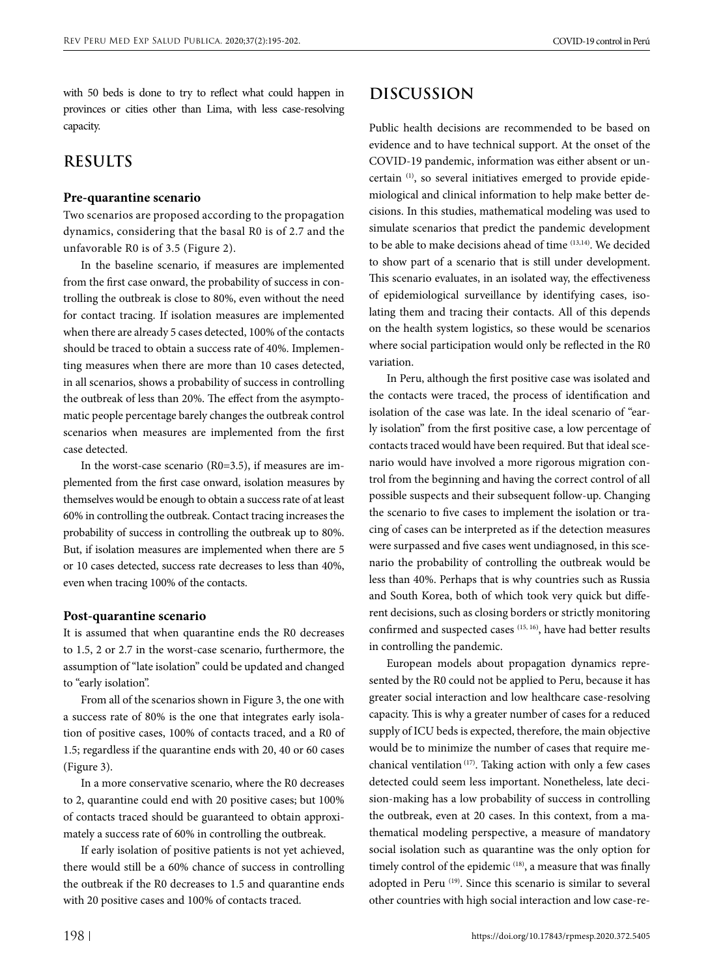with 50 beds is done to try to reflect what could happen in provinces or cities other than Lima, with less case-resolving capacity.

### **RESULTS**

#### **Pre-quarantine scenario**

Two scenarios are proposed according to the propagation dynamics, considering that the basal R0 is of 2.7 and the unfavorable R0 is of 3.5 (Figure 2).

In the baseline scenario, if measures are implemented from the first case onward, the probability of success in controlling the outbreak is close to 80%, even without the need for contact tracing. If isolation measures are implemented when there are already 5 cases detected, 100% of the contacts should be traced to obtain a success rate of 40%. Implementing measures when there are more than 10 cases detected, in all scenarios, shows a probability of success in controlling the outbreak of less than 20%. The effect from the asymptomatic people percentage barely changes the outbreak control scenarios when measures are implemented from the first case detected.

In the worst-case scenario (R0=3.5), if measures are implemented from the first case onward, isolation measures by themselves would be enough to obtain a success rate of at least 60% in controlling the outbreak. Contact tracing increases the probability of success in controlling the outbreak up to 80%. But, if isolation measures are implemented when there are 5 or 10 cases detected, success rate decreases to less than 40%, even when tracing 100% of the contacts.

#### **Post-quarantine scenario**

It is assumed that when quarantine ends the R0 decreases to 1.5, 2 or 2.7 in the worst-case scenario, furthermore, the assumption of "late isolation" could be updated and changed to "early isolation".

From all of the scenarios shown in Figure 3, the one with a success rate of 80% is the one that integrates early isolation of positive cases, 100% of contacts traced, and a R0 of 1.5; regardless if the quarantine ends with 20, 40 or 60 cases (Figure 3).

In a more conservative scenario, where the R0 decreases to 2, quarantine could end with 20 positive cases; but 100% of contacts traced should be guaranteed to obtain approximately a success rate of 60% in controlling the outbreak.

If early isolation of positive patients is not yet achieved, there would still be a 60% chance of success in controlling the outbreak if the R0 decreases to 1.5 and quarantine ends with 20 positive cases and 100% of contacts traced.

### **DISCUSSION**

Public health decisions are recommended to be based on evidence and to have technical support. At the onset of the COVID-19 pandemic, information was either absent or uncertain (1), so several initiatives emerged to provide epidemiological and clinical information to help make better decisions. In this studies, mathematical modeling was used to simulate scenarios that predict the pandemic development to be able to make decisions ahead of time (13,14). We decided to show part of a scenario that is still under development. This scenario evaluates, in an isolated way, the effectiveness of epidemiological surveillance by identifying cases, isolating them and tracing their contacts. All of this depends on the health system logistics, so these would be scenarios where social participation would only be reflected in the R0 variation.

In Peru, although the first positive case was isolated and the contacts were traced, the process of identification and isolation of the case was late. In the ideal scenario of "early isolation" from the first positive case, a low percentage of contacts traced would have been required. But that ideal scenario would have involved a more rigorous migration control from the beginning and having the correct control of all possible suspects and their subsequent follow-up. Changing the scenario to five cases to implement the isolation or tracing of cases can be interpreted as if the detection measures were surpassed and five cases went undiagnosed, in this scenario the probability of controlling the outbreak would be less than 40%. Perhaps that is why countries such as Russia and South Korea, both of which took very quick but different decisions, such as closing borders or strictly monitoring confirmed and suspected cases (15, 16), have had better results in controlling the pandemic.

European models about propagation dynamics represented by the R0 could not be applied to Peru, because it has greater social interaction and low healthcare case-resolving capacity. This is why a greater number of cases for a reduced supply of ICU beds is expected, therefore, the main objective would be to minimize the number of cases that require mechanical ventilation (17). Taking action with only a few cases detected could seem less important. Nonetheless, late decision-making has a low probability of success in controlling the outbreak, even at 20 cases. In this context, from a mathematical modeling perspective, a measure of mandatory social isolation such as quarantine was the only option for timely control of the epidemic (18), a measure that was finally adopted in Peru (19). Since this scenario is similar to several other countries with high social interaction and low case-re-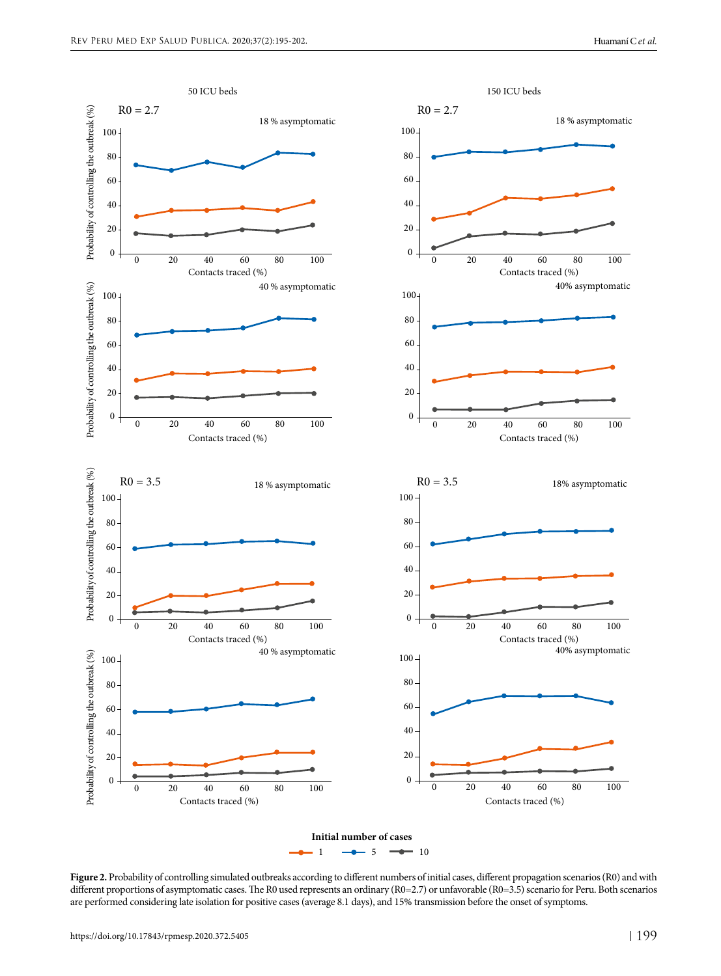

**Figure 2.** Probability of controlling simulated outbreaks according to different numbers of initial cases, different propagation scenarios (R0) and with different proportions of asymptomatic cases. The R0 used represents an ordinary (R0=2.7) or unfavorable (R0=3.5) scenario for Peru. Both scenarios are performed considering late isolation for positive cases (average 8.1 days), and 15% transmission before the onset of symptoms.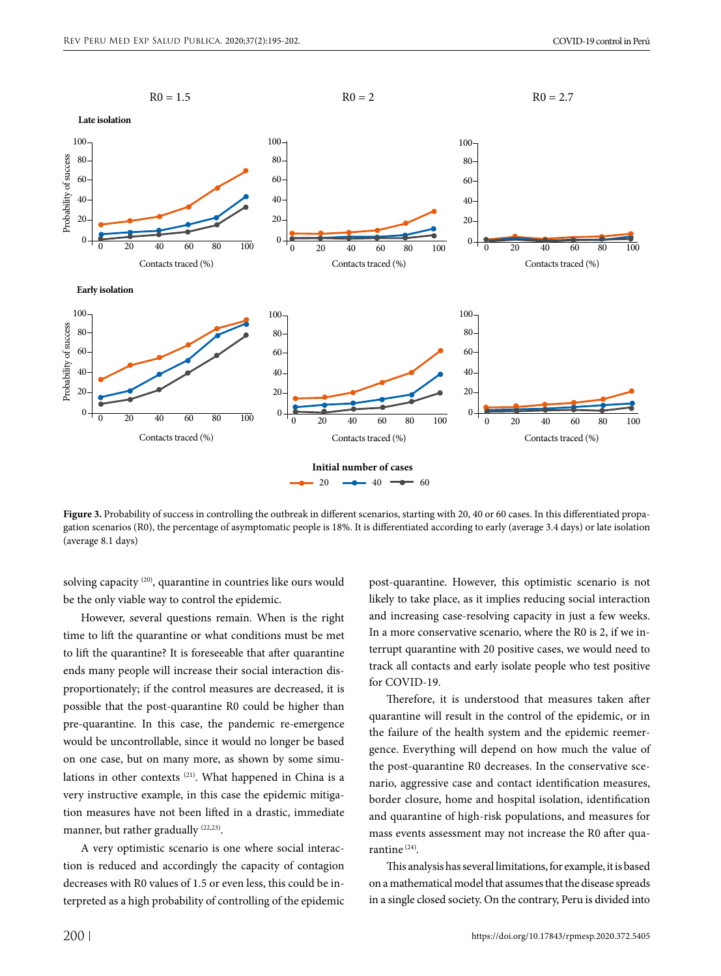

Figure 3. Probability of success in controlling the outbreak in different scenarios, starting with 20, 40 or 60 cases. In this differentiated propagation scenarios (R0), the percentage of asymptomatic people is 18%. It is differentiated according to early (average 3.4 days) or late isolation (average 8.1 days)

solving capacity (20), quarantine in countries like ours would be the only viable way to control the epidemic.

However, several questions remain. When is the right time to lift the quarantine or what conditions must be met to lift the quarantine? It is foreseeable that after quarantine ends many people will increase their social interaction disproportionately; if the control measures are decreased, it is possible that the post-quarantine R0 could be higher than pre-quarantine. In this case, the pandemic re-emergence would be uncontrollable, since it would no longer be based on one case, but on many more, as shown by some simulations in other contexts<sup>(21)</sup>. What happened in China is a very instructive example, in this case the epidemic mitigation measures have not been lifted in a drastic, immediate manner, but rather gradually (22,23).

A very optimistic scenario is one where social interaction is reduced and accordingly the capacity of contagion decreases with R0 values of 1.5 or even less, this could be interpreted as a high probability of controlling of the epidemic post-quarantine. However, this optimistic scenario is not likely to take place, as it implies reducing social interaction and increasing case-resolving capacity in just a few weeks. In a more conservative scenario, where the R0 is 2, if we interrupt quarantine with 20 positive cases, we would need to track all contacts and early isolate people who test positive for COVID-19.

Therefore, it is understood that measures taken after quarantine will result in the control of the epidemic, or in the failure of the health system and the epidemic reemergence. Everything will depend on how much the value of the post-quarantine R0 decreases. In the conservative scenario, aggressive case and contact identification measures, border closure, home and hospital isolation, identification and quarantine of high-risk populations, and measures for mass events assessment may not increase the R0 after quarantine (24).

This analysis has several limitations, for example, it is based on a mathematical model that assumes that the disease spreads in a single closed society. On the contrary, Peru is divided into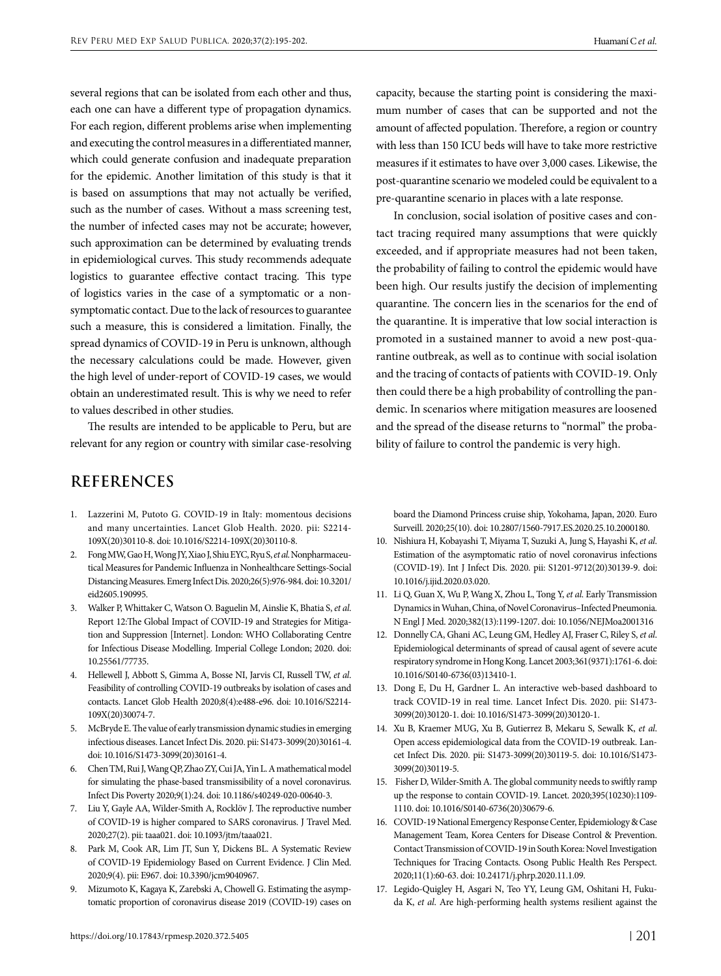several regions that can be isolated from each other and thus, each one can have a different type of propagation dynamics. For each region, different problems arise when implementing and executing the control measures in a differentiated manner, which could generate confusion and inadequate preparation for the epidemic. Another limitation of this study is that it is based on assumptions that may not actually be verified, such as the number of cases. Without a mass screening test, the number of infected cases may not be accurate; however, such approximation can be determined by evaluating trends in epidemiological curves. This study recommends adequate logistics to guarantee effective contact tracing. This type of logistics varies in the case of a symptomatic or a nonsymptomatic contact. Due to the lack of resources to guarantee such a measure, this is considered a limitation. Finally, the spread dynamics of COVID-19 in Peru is unknown, although the necessary calculations could be made. However, given the high level of under-report of COVID-19 cases, we would obtain an underestimated result. This is why we need to refer to values described in other studies.

The results are intended to be applicable to Peru, but are relevant for any region or country with similar case-resolving

## **REFERENCES**

- 1. Lazzerini M, Putoto G. COVID-19 in Italy: momentous decisions and many uncertainties. Lancet Glob Health. 2020. pii: S2214- 109X(20)30110-8. doi: 10.1016/S2214-109X(20)30110-8.
- 2. Fong MW, Gao H, Wong JY, Xiao J, Shiu EYC, Ryu S, *et al*. Nonpharmaceutical Measures for Pandemic Influenza in Nonhealthcare Settings-Social Distancing Measures. Emerg Infect Dis. 2020;26(5):976-984. doi: 10.3201/ eid2605.190995.
- 3. Walker P, Whittaker C, Watson O. Baguelin M, Ainslie K, Bhatia S, *et al*. Report 12:The Global Impact of COVID-19 and Strategies for Mitigation and Suppression [Internet]. London: WHO Collaborating Centre for Infectious Disease Modelling. Imperial College London; 2020. doi: 10.25561/77735.
- 4. Hellewell J, Abbott S, Gimma A, Bosse NI, Jarvis CI, Russell TW, *et al*. Feasibility of controlling COVID-19 outbreaks by isolation of cases and contacts. Lancet Glob Health 2020;8(4):e488-e96. doi: 10.1016/S2214- 109X(20)30074-7.
- 5. McBryde E. The value of early transmission dynamic studies in emerging infectious diseases. Lancet Infect Dis. 2020. pii: S1473-3099(20)30161-4. doi: 10.1016/S1473-3099(20)30161-4.
- 6. Chen TM, Rui J, Wang QP, Zhao ZY, Cui JA, Yin L. A mathematical model for simulating the phase-based transmissibility of a novel coronavirus. Infect Dis Poverty 2020;9(1):24. doi: 10.1186/s40249-020-00640-3.
- 7. Liu Y, Gayle AA, Wilder-Smith A, Rocklöv J. The reproductive number of COVID-19 is higher compared to SARS coronavirus. J Travel Med. 2020;27(2). pii: taaa021. doi: 10.1093/jtm/taaa021.
- 8. Park M, Cook AR, Lim JT, Sun Y, Dickens BL. A Systematic Review of COVID-19 Epidemiology Based on Current Evidence. J Clin Med. 2020;9(4). pii: E967. doi: 10.3390/jcm9040967.
- 9. Mizumoto K, Kagaya K, Zarebski A, Chowell G. Estimating the asymptomatic proportion of coronavirus disease 2019 (COVID-19) cases on

capacity, because the starting point is considering the maximum number of cases that can be supported and not the amount of affected population. Therefore, a region or country with less than 150 ICU beds will have to take more restrictive measures if it estimates to have over 3,000 cases. Likewise, the post-quarantine scenario we modeled could be equivalent to a pre-quarantine scenario in places with a late response.

In conclusion, social isolation of positive cases and contact tracing required many assumptions that were quickly exceeded, and if appropriate measures had not been taken, the probability of failing to control the epidemic would have been high. Our results justify the decision of implementing quarantine. The concern lies in the scenarios for the end of the quarantine. It is imperative that low social interaction is promoted in a sustained manner to avoid a new post-quarantine outbreak, as well as to continue with social isolation and the tracing of contacts of patients with COVID-19. Only then could there be a high probability of controlling the pandemic. In scenarios where mitigation measures are loosened and the spread of the disease returns to "normal" the probability of failure to control the pandemic is very high.

board the Diamond Princess cruise ship, Yokohama, Japan, 2020. Euro Surveill. 2020;25(10). doi: 10.2807/1560-7917.ES.2020.25.10.2000180.

- 10. Nishiura H, Kobayashi T, Miyama T, Suzuki A, Jung S, Hayashi K, *et al*. Estimation of the asymptomatic ratio of novel coronavirus infections (COVID-19). Int J Infect Dis. 2020. pii: S1201-9712(20)30139-9. doi: 10.1016/j.ijid.2020.03.020.
- 11. Li Q, Guan X, Wu P, Wang X, Zhou L, Tong Y, *et al*. Early Transmission Dynamics in Wuhan, China, of Novel Coronavirus–Infected Pneumonia. N Engl J Med. 2020;382(13):1199-1207. doi: 10.1056/NEJMoa2001316
- 12. Donnelly CA, Ghani AC, Leung GM, Hedley AJ, Fraser C, Riley S, *et al*. Epidemiological determinants of spread of causal agent of severe acute respiratory syndrome in Hong Kong. Lancet 2003;361(9371):1761-6. doi: 10.1016/S0140-6736(03)13410-1.
- 13. Dong E, Du H, Gardner L. An interactive web-based dashboard to track COVID-19 in real time. Lancet Infect Dis. 2020. pii: S1473- 3099(20)30120-1. doi: 10.1016/S1473-3099(20)30120-1.
- 14. Xu B, Kraemer MUG, Xu B, Gutierrez B, Mekaru S, Sewalk K, *et al*. Open access epidemiological data from the COVID-19 outbreak. Lancet Infect Dis. 2020. pii: S1473-3099(20)30119-5. doi: 10.1016/S1473- 3099(20)30119-5.
- 15. Fisher D, Wilder-Smith A. The global community needs to swiftly ramp up the response to contain COVID-19. Lancet. 2020;395(10230):1109- 1110. doi: 10.1016/S0140-6736(20)30679-6.
- 16. COVID-19 National Emergency Response Center, Epidemiology & Case Management Team, Korea Centers for Disease Control & Prevention. Contact Transmission of COVID-19 in South Korea: Novel Investigation Techniques for Tracing Contacts. Osong Public Health Res Perspect. 2020;11(1):60-63. doi: 10.24171/j.phrp.2020.11.1.09.
- 17. Legido-Quigley H, Asgari N, Teo YY, Leung GM, Oshitani H, Fukuda K, *et al*. Are high-performing health systems resilient against the